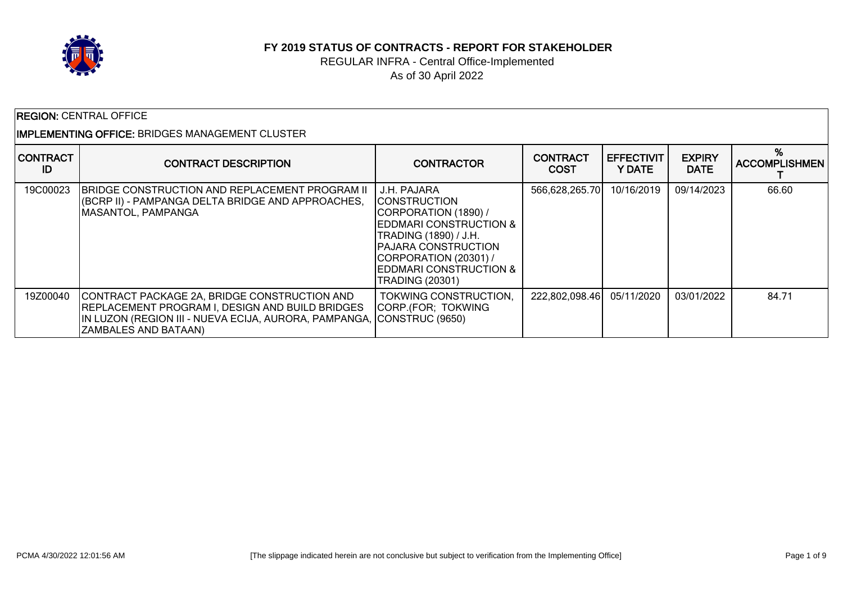

#### **FY 2019 STATUS OF CONTRACTS - REPORT FOR STAKEHOLDER**

## REGULAR INFRA - Central Office-Implemented As of 30 April 2022

|                       | <b>REGION: CENTRAL OFFICE</b>                                                                                                                                                                                  |                                                                                                                                                                                                                                                 |                                |                             |                              |                      |  |  |
|-----------------------|----------------------------------------------------------------------------------------------------------------------------------------------------------------------------------------------------------------|-------------------------------------------------------------------------------------------------------------------------------------------------------------------------------------------------------------------------------------------------|--------------------------------|-----------------------------|------------------------------|----------------------|--|--|
|                       | IMPLEMENTING OFFICE: BRIDGES MANAGEMENT CLUSTER                                                                                                                                                                |                                                                                                                                                                                                                                                 |                                |                             |                              |                      |  |  |
| <b>CONTRACT</b><br>ID | <b>CONTRACT DESCRIPTION</b>                                                                                                                                                                                    | <b>CONTRACTOR</b>                                                                                                                                                                                                                               | <b>CONTRACT</b><br><b>COST</b> | <b>EFFECTIVIT</b><br>Y DATE | <b>EXPIRY</b><br><b>DATE</b> | <b>ACCOMPLISHMEN</b> |  |  |
| 19C00023              | <b>IBRIDGE CONSTRUCTION AND REPLACEMENT PROGRAM II</b><br>(BCRP II) - PAMPANGA DELTA BRIDGE AND APPROACHES,<br><b>IMASANTOL, PAMPANGA</b>                                                                      | J.H. PAJARA<br><b>CONSTRUCTION</b><br>CORPORATION (1890) /<br><b>EDDMARI CONSTRUCTION &amp;</b><br>TRADING (1890) / J.H.<br><b>PAJARA CONSTRUCTION</b><br>CORPORATION (20301) /<br><b>IEDDMARI CONSTRUCTION &amp;</b><br><b>TRADING (20301)</b> | 566,628,265.70                 | 10/16/2019                  | 09/14/2023                   | 66.60                |  |  |
| 19Z00040              | CONTRACT PACKAGE 2A, BRIDGE CONSTRUCTION AND<br><b>REPLACEMENT PROGRAM I, DESIGN AND BUILD BRIDGES</b><br>IN LUZON (REGION III - NUEVA ECIJA, AURORA, PAMPANGA, CONSTRUC (9650)<br><b>ZAMBALES AND BATAAN)</b> | TOKWING CONSTRUCTION,<br>CORP (FOR; TOKWING                                                                                                                                                                                                     | 222,802,098.46                 | 05/11/2020                  | 03/01/2022                   | 84.71                |  |  |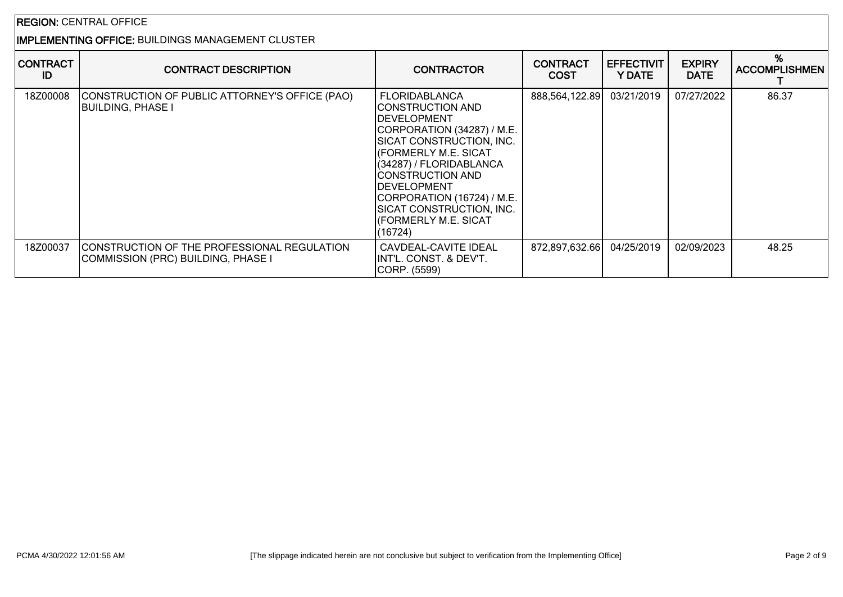# IMPLEMENTING OFFICE: BUILDINGS MANAGEMENT CLUSTER

| <b>CONTRACT</b><br>ID | <b>CONTRACT DESCRIPTION</b>                                                               | <b>CONTRACTOR</b>                                                                                                                                                                                                                                                                                                     | <b>CONTRACT</b><br><b>COST</b> | <b>EFFECTIVIT</b><br>Y DATE | <b>EXPIRY</b><br><b>DATE</b> | %<br><b>ACCOMPLISHMEN</b> |
|-----------------------|-------------------------------------------------------------------------------------------|-----------------------------------------------------------------------------------------------------------------------------------------------------------------------------------------------------------------------------------------------------------------------------------------------------------------------|--------------------------------|-----------------------------|------------------------------|---------------------------|
| 18Z00008              | CONSTRUCTION OF PUBLIC ATTORNEY'S OFFICE (PAO)<br><b>BUILDING, PHASE I</b>                | FLORIDABLANCA<br> CONSTRUCTION AND<br><b>DEVELOPMENT</b><br>CORPORATION (34287) / M.E.<br>SICAT CONSTRUCTION, INC.<br><b>(FORMERLY M.E. SICAT</b><br>(34287) / FLORIDABLANCA<br> CONSTRUCTION AND<br><b>IDEVELOPMENT</b><br>CORPORATION (16724) / M.E.<br>SICAT CONSTRUCTION, INC.<br>(FORMERLY M.E. SICAT<br>(16724) | 888,564,122.89 03/21/2019      |                             | 07/27/2022                   | 86.37                     |
| 18Z00037              | <b>ICONSTRUCTION OF THE PROFESSIONAL REGULATION</b><br>COMMISSION (PRC) BUILDING, PHASE I | CAVDEAL-CAVITE IDEAL<br>IINT'L. CONST. & DEV'T.<br>CORP. (5599)                                                                                                                                                                                                                                                       | 872,897,632.66                 | 04/25/2019                  | 02/09/2023                   | 48.25                     |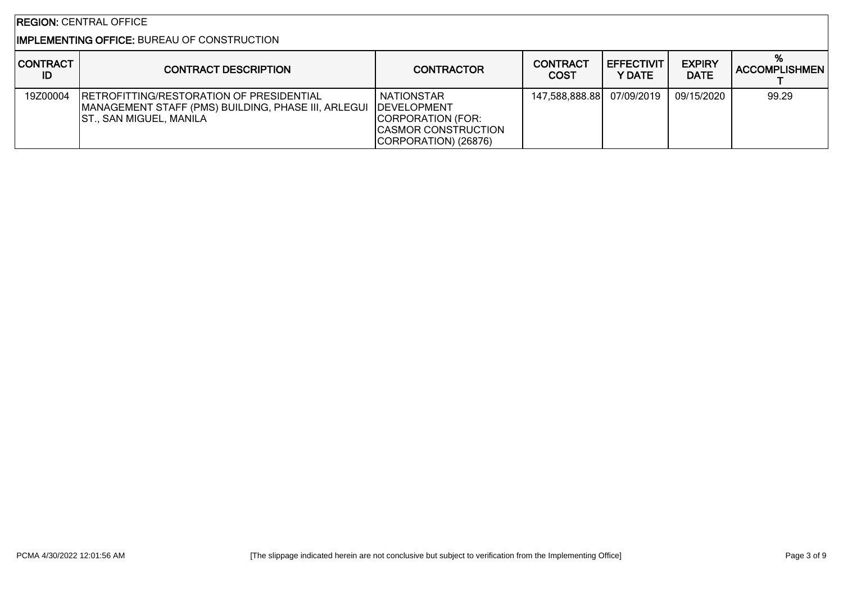## IMPLEMENTING OFFICE: BUREAU OF CONSTRUCTION

| <b>CONTRACT</b><br>ID | <b>CONTRACT DESCRIPTION</b>                                                                                                                             | <b>CONTRACTOR</b>                                                                            | <b>CONTRACT</b><br><b>COST</b> | <b>EFFECTIVIT</b><br>Y DATE | <b>EXPIRY</b><br><b>DATE</b> | ACCOMPLISHMEN |
|-----------------------|---------------------------------------------------------------------------------------------------------------------------------------------------------|----------------------------------------------------------------------------------------------|--------------------------------|-----------------------------|------------------------------|---------------|
| 19Z00004              | <b>IRETROFITTING/RESTORATION OF PRESIDENTIAL</b><br>MANAGEMENT STAFF (PMS) BUILDING, PHASE III, ARLEGUI   DEVELOPMENT<br><b>ST., SAN MIGUEL, MANILA</b> | <b>NATIONSTAR</b><br>CORPORATION (FOR:<br><b>CASMOR CONSTRUCTION</b><br>CORPORATION) (26876) | 147,588,888.88                 | 07/09/2019                  | 09/15/2020                   | 99.29         |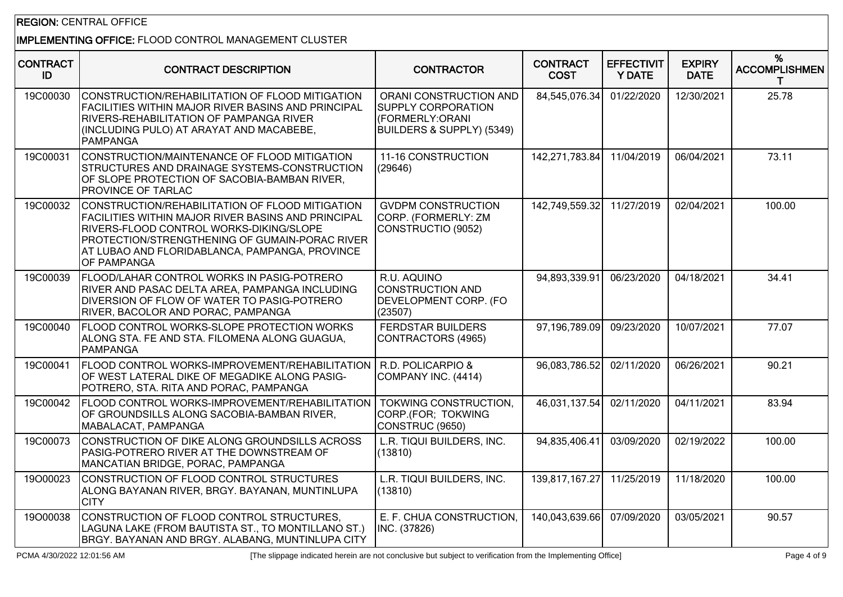## IMPLEMENTING OFFICE: FLOOD CONTROL MANAGEMENT CLUSTER

| <b>CONTRACT</b><br>ID | <b>CONTRACT DESCRIPTION</b>                                                                                                                                                                                                                                                | <b>CONTRACTOR</b>                                                                                   | <b>CONTRACT</b><br><b>COST</b> | <b>EFFECTIVIT</b><br><b>Y DATE</b> | <b>EXPIRY</b><br><b>DATE</b> | %<br><b>ACCOMPLISHMEN</b> |
|-----------------------|----------------------------------------------------------------------------------------------------------------------------------------------------------------------------------------------------------------------------------------------------------------------------|-----------------------------------------------------------------------------------------------------|--------------------------------|------------------------------------|------------------------------|---------------------------|
| 19C00030              | CONSTRUCTION/REHABILITATION OF FLOOD MITIGATION<br><b>FACILITIES WITHIN MAJOR RIVER BASINS AND PRINCIPAL</b><br>RIVERS-REHABILITATION OF PAMPANGA RIVER<br>(INCLUDING PULO) AT ARAYAT AND MACABEBE,<br>PAMPANGA                                                            | ORANI CONSTRUCTION AND<br><b>SUPPLY CORPORATION</b><br>(FORMERLY:ORANI<br>BUILDERS & SUPPLY) (5349) | 84,545,076.34                  | 01/22/2020                         | 12/30/2021                   | 25.78                     |
| 19C00031              | CONSTRUCTION/MAINTENANCE OF FLOOD MITIGATION<br>STRUCTURES AND DRAINAGE SYSTEMS-CONSTRUCTION<br>OF SLOPE PROTECTION OF SACOBIA-BAMBAN RIVER,<br>PROVINCE OF TARLAC                                                                                                         | 11-16 CONSTRUCTION<br>(29646)                                                                       | 142,271,783.84                 | 11/04/2019                         | 06/04/2021                   | 73.11                     |
| 19C00032              | CONSTRUCTION/REHABILITATION OF FLOOD MITIGATION<br><b>FACILITIES WITHIN MAJOR RIVER BASINS AND PRINCIPAL</b><br>RIVERS-FLOOD CONTROL WORKS-DIKING/SLOPE<br>PROTECTION/STRENGTHENING OF GUMAIN-PORAC RIVER<br>AT LUBAO AND FLORIDABLANCA, PAMPANGA, PROVINCE<br>OF PAMPANGA | <b>GVDPM CONSTRUCTION</b><br>CORP. (FORMERLY: ZM<br>CONSTRUCTIO (9052)                              | 142,749,559.32                 | 11/27/2019                         | 02/04/2021                   | 100.00                    |
| 19C00039              | FLOOD/LAHAR CONTROL WORKS IN PASIG-POTRERO<br>RIVER AND PASAC DELTA AREA, PAMPANGA INCLUDING<br>DIVERSION OF FLOW OF WATER TO PASIG-POTRERO<br>RIVER, BACOLOR AND PORAC, PAMPANGA                                                                                          | R.U. AQUINO<br><b>CONSTRUCTION AND</b><br><b>DEVELOPMENT CORP. (FO</b><br>(23507)                   | 94,893,339.91                  | 06/23/2020                         | 04/18/2021                   | 34.41                     |
| 19C00040              | FLOOD CONTROL WORKS-SLOPE PROTECTION WORKS<br>ALONG STA. FE AND STA. FILOMENA ALONG GUAGUA,<br>PAMPANGA                                                                                                                                                                    | <b>FERDSTAR BUILDERS</b><br>CONTRACTORS (4965)                                                      | 97,196,789.09                  | 09/23/2020                         | 10/07/2021                   | 77.07                     |
| 19C00041              | FLOOD CONTROL WORKS-IMPROVEMENT/REHABILITATION<br>OF WEST LATERAL DIKE OF MEGADIKE ALONG PASIG-<br>POTRERO, STA. RITA AND PORAC, PAMPANGA                                                                                                                                  | R.D. POLICARPIO &<br>COMPANY INC. (4414)                                                            | 96,083,786.52                  | 02/11/2020                         | 06/26/2021                   | 90.21                     |
| 19C00042              | FLOOD CONTROL WORKS-IMPROVEMENT/REHABILITATION<br>OF GROUNDSILLS ALONG SACOBIA-BAMBAN RIVER,<br>MABALACAT, PAMPANGA                                                                                                                                                        | TOKWING CONSTRUCTION,<br>CORP.(FOR; TOKWING<br>CONSTRUC (9650)                                      | 46,031,137.54                  | 02/11/2020                         | 04/11/2021                   | 83.94                     |
| 19C00073              | CONSTRUCTION OF DIKE ALONG GROUNDSILLS ACROSS<br>PASIG-POTRERO RIVER AT THE DOWNSTREAM OF<br>MANCATIAN BRIDGE, PORAC, PAMPANGA                                                                                                                                             | L.R. TIQUI BUILDERS, INC.<br>(13810)                                                                | 94,835,406.41                  | 03/09/2020                         | 02/19/2022                   | 100.00                    |
| 19000023              | CONSTRUCTION OF FLOOD CONTROL STRUCTURES<br>ALONG BAYANAN RIVER, BRGY. BAYANAN, MUNTINLUPA<br><b>CITY</b>                                                                                                                                                                  | L.R. TIQUI BUILDERS, INC.<br>(13810)                                                                | 139,817,167.27                 | 11/25/2019                         | 11/18/2020                   | 100.00                    |
| 19000038              | CONSTRUCTION OF FLOOD CONTROL STRUCTURES.<br>LAGUNA LAKE (FROM BAUTISTA ST., TO MONTILLANO ST.)<br>BRGY. BAYANAN AND BRGY. ALABANG, MUNTINLUPA CITY                                                                                                                        | E. F. CHUA CONSTRUCTION.<br>INC. (37826)                                                            | 140,043,639.66                 | 07/09/2020                         | 03/05/2021                   | 90.57                     |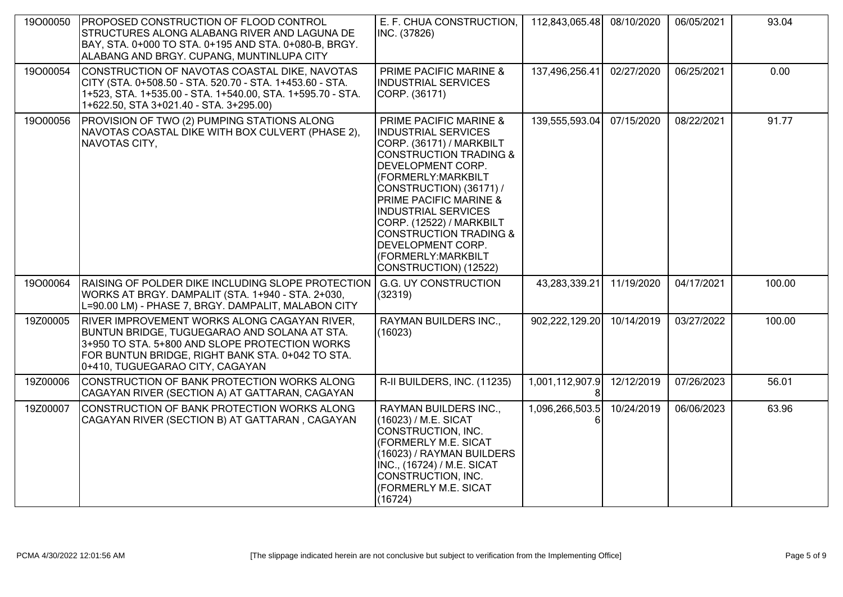| 19000050 | <b>PROPOSED CONSTRUCTION OF FLOOD CONTROL</b><br>STRUCTURES ALONG ALABANG RIVER AND LAGUNA DE<br>BAY, STA. 0+000 TO STA. 0+195 AND STA. 0+080-B, BRGY.<br>ALABANG AND BRGY. CUPANG, MUNTINLUPA CITY                                   | E. F. CHUA CONSTRUCTION,<br>INC. (37826)                                                                                                                                                                                                                                                                                                                                                                                | 112,843,065.48  | 08/10/2020 | 06/05/2021 | 93.04  |
|----------|---------------------------------------------------------------------------------------------------------------------------------------------------------------------------------------------------------------------------------------|-------------------------------------------------------------------------------------------------------------------------------------------------------------------------------------------------------------------------------------------------------------------------------------------------------------------------------------------------------------------------------------------------------------------------|-----------------|------------|------------|--------|
| 19000054 | CONSTRUCTION OF NAVOTAS COASTAL DIKE, NAVOTAS<br>CITY (STA. 0+508.50 - STA. 520.70 - STA. 1+453.60 - STA.<br>1+523, STA. 1+535.00 - STA. 1+540.00, STA. 1+595.70 - STA.<br>1+622.50, STA 3+021.40 - STA. 3+295.00)                    | PRIME PACIFIC MARINE &<br><b>INDUSTRIAL SERVICES</b><br>CORP. (36171)                                                                                                                                                                                                                                                                                                                                                   | 137,496,256.41  | 02/27/2020 | 06/25/2021 | 0.00   |
| 19000056 | PROVISION OF TWO (2) PUMPING STATIONS ALONG<br>NAVOTAS COASTAL DIKE WITH BOX CULVERT (PHASE 2),<br>NAVOTAS CITY,                                                                                                                      | <b>PRIME PACIFIC MARINE &amp;</b><br><b>INDUSTRIAL SERVICES</b><br>CORP. (36171) / MARKBILT<br><b>CONSTRUCTION TRADING &amp;</b><br><b>DEVELOPMENT CORP.</b><br>(FORMERLY: MARKBILT<br>CONSTRUCTION) (36171) /<br><b>PRIME PACIFIC MARINE &amp;</b><br><b>INDUSTRIAL SERVICES</b><br>CORP. (12522) / MARKBILT<br><b>CONSTRUCTION TRADING &amp;</b><br>DEVELOPMENT CORP.<br>(FORMERLY: MARKBILT<br>CONSTRUCTION) (12522) | 139,555,593.04  | 07/15/2020 | 08/22/2021 | 91.77  |
| 19000064 | RAISING OF POLDER DIKE INCLUDING SLOPE PROTECTION G.G. UY CONSTRUCTION<br>WORKS AT BRGY. DAMPALIT (STA. 1+940 - STA. 2+030,<br>L=90.00 LM) - PHASE 7, BRGY. DAMPALIT, MALABON CITY                                                    | (32319)                                                                                                                                                                                                                                                                                                                                                                                                                 | 43,283,339.21   | 11/19/2020 | 04/17/2021 | 100.00 |
| 19Z00005 | RIVER IMPROVEMENT WORKS ALONG CAGAYAN RIVER,<br>BUNTUN BRIDGE, TUGUEGARAO AND SOLANA AT STA.<br>3+950 TO STA. 5+800 AND SLOPE PROTECTION WORKS<br>FOR BUNTUN BRIDGE, RIGHT BANK STA. 0+042 TO STA.<br>0+410, TUGUEGARAO CITY, CAGAYAN | RAYMAN BUILDERS INC.,<br>(16023)                                                                                                                                                                                                                                                                                                                                                                                        | 902,222,129.20  | 10/14/2019 | 03/27/2022 | 100.00 |
| 19Z00006 | CONSTRUCTION OF BANK PROTECTION WORKS ALONG<br>CAGAYAN RIVER (SECTION A) AT GATTARAN, CAGAYAN                                                                                                                                         | R-II BUILDERS, INC. (11235)                                                                                                                                                                                                                                                                                                                                                                                             | 1,001,112,907.9 | 12/12/2019 | 07/26/2023 | 56.01  |
| 19Z00007 | CONSTRUCTION OF BANK PROTECTION WORKS ALONG<br>CAGAYAN RIVER (SECTION B) AT GATTARAN, CAGAYAN                                                                                                                                         | RAYMAN BUILDERS INC.,<br>(16023) / M.E. SICAT<br>CONSTRUCTION, INC.<br>(FORMERLY M.E. SICAT<br>(16023) / RAYMAN BUILDERS<br>INC., (16724) / M.E. SICAT<br>CONSTRUCTION, INC.<br>(FORMERLY M.E. SICAT<br>(16724)                                                                                                                                                                                                         | 1,096,266,503.5 | 10/24/2019 | 06/06/2023 | 63.96  |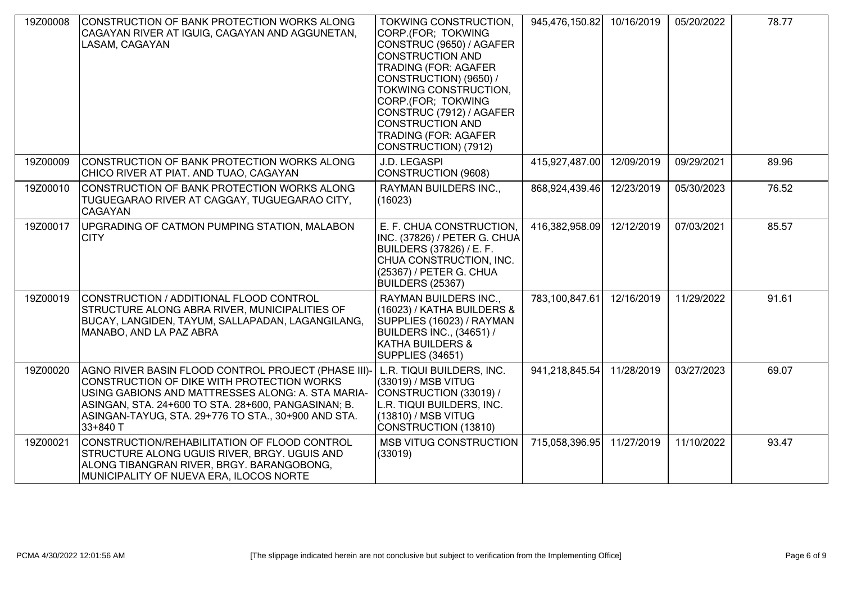| 19Z00008 | CONSTRUCTION OF BANK PROTECTION WORKS ALONG<br>CAGAYAN RIVER AT IGUIG, CAGAYAN AND AGGUNETAN,<br>LASAM, CAGAYAN                                                                                                                                                                  | TOKWING CONSTRUCTION,<br>CORP.(FOR; TOKWING<br>CONSTRUC (9650) / AGAFER<br><b>CONSTRUCTION AND</b><br><b>TRADING (FOR: AGAFER</b><br>CONSTRUCTION) (9650) /<br>TOKWING CONSTRUCTION,<br>CORP.(FOR; TOKWING<br>CONSTRUC (7912) / AGAFER<br><b>CONSTRUCTION AND</b><br><b>TRADING (FOR: AGAFER</b><br>CONSTRUCTION) (7912) | 945,476,150.82 | 10/16/2019 | 05/20/2022 | 78.77 |
|----------|----------------------------------------------------------------------------------------------------------------------------------------------------------------------------------------------------------------------------------------------------------------------------------|--------------------------------------------------------------------------------------------------------------------------------------------------------------------------------------------------------------------------------------------------------------------------------------------------------------------------|----------------|------------|------------|-------|
| 19Z00009 | CONSTRUCTION OF BANK PROTECTION WORKS ALONG<br>CHICO RIVER AT PIAT. AND TUAO, CAGAYAN                                                                                                                                                                                            | J.D. LEGASPI<br>CONSTRUCTION (9608)                                                                                                                                                                                                                                                                                      | 415,927,487.00 | 12/09/2019 | 09/29/2021 | 89.96 |
| 19Z00010 | CONSTRUCTION OF BANK PROTECTION WORKS ALONG<br>TUGUEGARAO RIVER AT CAGGAY, TUGUEGARAO CITY,<br><b>CAGAYAN</b>                                                                                                                                                                    | RAYMAN BUILDERS INC.,<br>(16023)                                                                                                                                                                                                                                                                                         | 868,924,439.46 | 12/23/2019 | 05/30/2023 | 76.52 |
| 19Z00017 | UPGRADING OF CATMON PUMPING STATION, MALABON<br>ICITY                                                                                                                                                                                                                            | E. F. CHUA CONSTRUCTION.<br>INC. (37826) / PETER G. CHUA<br><b>BUILDERS (37826) / E. F.</b><br>CHUA CONSTRUCTION, INC.<br>(25367) / PETER G. CHUA<br>BUILDERS (25367)                                                                                                                                                    | 416,382,958.09 | 12/12/2019 | 07/03/2021 | 85.57 |
| 19Z00019 | CONSTRUCTION / ADDITIONAL FLOOD CONTROL<br>STRUCTURE ALONG ABRA RIVER, MUNICIPALITIES OF<br>BUCAY, LANGIDEN, TAYUM, SALLAPADAN, LAGANGILANG,<br>MANABO, AND LA PAZ ABRA                                                                                                          | RAYMAN BUILDERS INC.,<br>(16023) / KATHA BUILDERS &<br>SUPPLIES (16023) / RAYMAN<br><b>BUILDERS INC., (34651) /</b><br><b>KATHA BUILDERS &amp;</b><br>SUPPLIES (34651)                                                                                                                                                   | 783,100,847.61 | 12/16/2019 | 11/29/2022 | 91.61 |
| 19Z00020 | AGNO RIVER BASIN FLOOD CONTROL PROJECT (PHASE III)-<br>CONSTRUCTION OF DIKE WITH PROTECTION WORKS<br>USING GABIONS AND MATTRESSES ALONG: A. STA MARIA-<br>ASINGAN, STA. 24+600 TO STA. 28+600, PANGASINAN; B.<br>ASINGAN-TAYUG, STA. 29+776 TO STA., 30+900 AND STA.<br>33+840 T | L.R. TIQUI BUILDERS, INC.<br>(33019) / MSB VITUG<br>CONSTRUCTION (33019) /<br>L.R. TIQUI BUILDERS, INC.<br>(13810) / MSB VITUG<br>CONSTRUCTION (13810)                                                                                                                                                                   | 941,218,845.54 | 11/28/2019 | 03/27/2023 | 69.07 |
| 19Z00021 | CONSTRUCTION/REHABILITATION OF FLOOD CONTROL<br>STRUCTURE ALONG UGUIS RIVER, BRGY. UGUIS AND<br>ALONG TIBANGRAN RIVER, BRGY. BARANGOBONG,<br>MUNICIPALITY OF NUEVA ERA, ILOCOS NORTE                                                                                             | <b>MSB VITUG CONSTRUCTION</b><br>(33019)                                                                                                                                                                                                                                                                                 | 715,058,396.95 | 11/27/2019 | 11/10/2022 | 93.47 |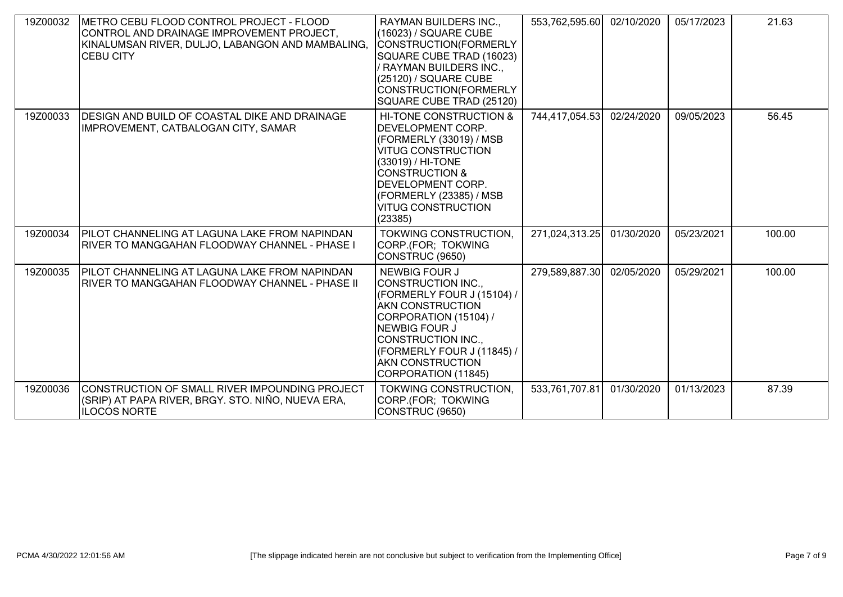| 19Z00032 | METRO CEBU FLOOD CONTROL PROJECT - FLOOD<br>CONTROL AND DRAINAGE IMPROVEMENT PROJECT,<br>KINALUMSAN RIVER, DULJO, LABANGON AND MAMBALING,<br>ICEBU CITY | RAYMAN BUILDERS INC.,<br>(16023) / SQUARE CUBE<br>CONSTRUCTION(FORMERLY<br>SQUARE CUBE TRAD (16023)<br>/ RAYMAN BUILDERS INC.,<br>(25120) / SQUARE CUBE<br>CONSTRUCTION(FORMERLY<br>SQUARE CUBE TRAD (25120)                                                 | 553,762,595.60 | 02/10/2020 | 05/17/2023 | 21.63  |
|----------|---------------------------------------------------------------------------------------------------------------------------------------------------------|--------------------------------------------------------------------------------------------------------------------------------------------------------------------------------------------------------------------------------------------------------------|----------------|------------|------------|--------|
| 19Z00033 | <b>IDESIGN AND BUILD OF COASTAL DIKE AND DRAINAGE</b><br>IMPROVEMENT, CATBALOGAN CITY, SAMAR                                                            | HI-TONE CONSTRUCTION &<br><b>DEVELOPMENT CORP.</b><br>(FORMERLY (33019) / MSB<br><b>VITUG CONSTRUCTION</b><br>(33019) / HI-TONE<br><b>ICONSTRUCTION &amp;</b><br><b>DEVELOPMENT CORP.</b><br>(FORMERLY (23385) / MSB<br><b>VITUG CONSTRUCTION</b><br>(23385) | 744,417,054.53 | 02/24/2020 | 09/05/2023 | 56.45  |
| 19Z00034 | PILOT CHANNELING AT LAGUNA LAKE FROM NAPINDAN<br><b>RIVER TO MANGGAHAN FLOODWAY CHANNEL - PHASE I</b>                                                   | TOKWING CONSTRUCTION,<br>CORP.(FOR; TOKWING<br>CONSTRUC (9650)                                                                                                                                                                                               | 271,024,313.25 | 01/30/2020 | 05/23/2021 | 100.00 |
| 19Z00035 | PILOT CHANNELING AT LAGUNA LAKE FROM NAPINDAN<br>RIVER TO MANGGAHAN FLOODWAY CHANNEL - PHASE II                                                         | <b>NEWBIG FOUR J</b><br>CONSTRUCTION INC.,<br>(FORMERLY FOUR J (15104) /<br><b>AKN CONSTRUCTION</b><br>CORPORATION (15104) /<br><b>NEWBIG FOUR J</b><br>CONSTRUCTION INC.,<br>(FORMERLY FOUR J (11845) /<br><b>AKN CONSTRUCTION</b><br>CORPORATION (11845)   | 279,589,887.30 | 02/05/2020 | 05/29/2021 | 100.00 |
| 19Z00036 | CONSTRUCTION OF SMALL RIVER IMPOUNDING PROJECT<br>(SRIP) AT PAPA RIVER, BRGY. STO. NIÑO, NUEVA ERA,<br><b>ILOCOS NORTE</b>                              | <b>TOKWING CONSTRUCTION,</b><br>CORP.(FOR; TOKWING<br>CONSTRUC (9650)                                                                                                                                                                                        | 533,761,707.81 | 01/30/2020 | 01/13/2023 | 87.39  |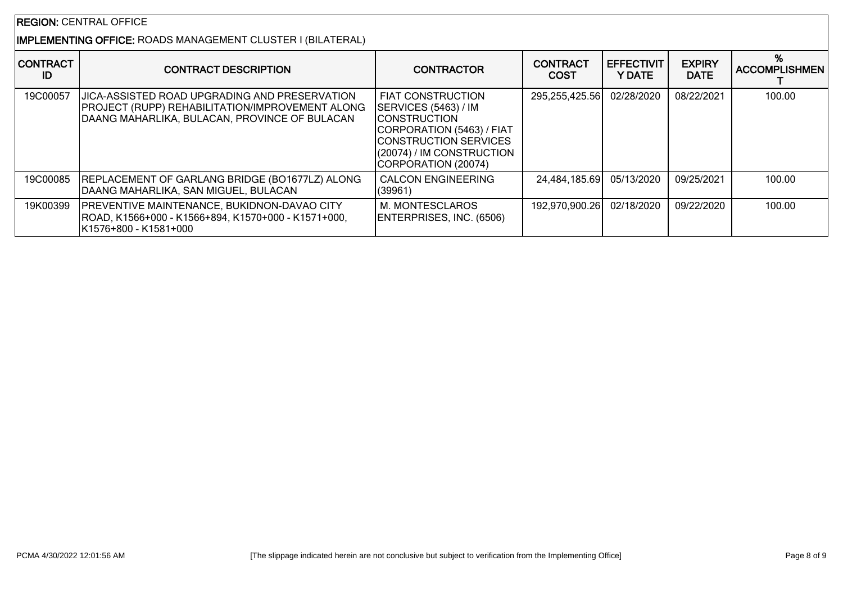# IMPLEMENTING OFFICE: ROADS MANAGEMENT CLUSTER I (BILATERAL)

| <b>CONTRACT</b><br>ID | <b>CONTRACT DESCRIPTION</b>                                                                                                                                      | <b>CONTRACTOR</b>                                                                                                                                                                    | <b>CONTRACT</b><br><b>COST</b> | <b>EFFECTIVIT</b><br>Y DATE | <b>EXPIRY</b><br><b>DATE</b> | <b>ACCOMPLISHMEN</b> |
|-----------------------|------------------------------------------------------------------------------------------------------------------------------------------------------------------|--------------------------------------------------------------------------------------------------------------------------------------------------------------------------------------|--------------------------------|-----------------------------|------------------------------|----------------------|
| 19C00057              | <b>JJICA-ASSISTED ROAD UPGRADING AND PRESERVATION</b><br><b>PROJECT (RUPP) REHABILITATION/IMPROVEMENT ALONG</b><br>DAANG MAHARLIKA, BULACAN, PROVINCE OF BULACAN | I FIAT CONSTRUCTION<br>SERVICES (5463) / IM<br><b>ICONSTRUCTION</b><br>CORPORATION (5463) / FIAT<br><b>CONSTRUCTION SERVICES</b><br>(20074) / IM CONSTRUCTION<br>CORPORATION (20074) | 295,255,425.56                 | 02/28/2020                  | 08/22/2021                   | 100.00               |
| 19C00085              | REPLACEMENT OF GARLANG BRIDGE (BO1677LZ) ALONG<br>DAANG MAHARLIKA, SAN MIGUEL, BULACAN                                                                           | <b>CALCON ENGINEERING</b><br>(39961)                                                                                                                                                 | 24,484,185.69                  | 05/13/2020                  | 09/25/2021                   | 100.00               |
| 19K00399              | <b>PREVENTIVE MAINTENANCE, BUKIDNON-DAVAO CITY</b><br>ROAD, K1566+000 - K1566+894, K1570+000 - K1571+000,<br>IK1576+800 - K1581+000                              | M. MONTESCLAROS<br>ENTERPRISES, INC. (6506)                                                                                                                                          | 192,970,900.26                 | 02/18/2020                  | 09/22/2020                   | 100.00               |